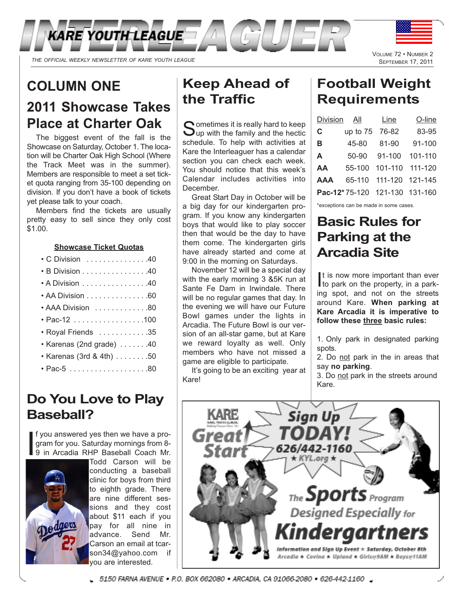

*THE OFFICIAL WEEKLY NEWSLETTER OF KARE YOUTH LEAGUE*

## **COLUMN ONE**

# **2011 Showcase Takes Place at Charter Oak**

The biggest event of the fall is the Showcase on Saturday, October 1. The location will be Charter Oak High School (Where the Track Meet was in the summer). Members are responsible to meet a set ticket quota ranging from 35-100 depending on division. If you don't have a book of tickets yet please talk to your coach.

Members find the tickets are usually pretty easy to sell since they only cost \$1.00.

#### **Showcase Ticket Quotas**

| ● C Division ................40 |  |  |  |  |  |  |  |  |
|---------------------------------|--|--|--|--|--|--|--|--|
| • B Division 40                 |  |  |  |  |  |  |  |  |

- $\cdot$  A Division  $\ldots \ldots \ldots \ldots$  . . . . . . . . . 40 • AA Division . . . . . . . . . . . . . . . 60
- AAA Division . . . . . . . . . . . . . 80
- Pac-12 . . . . . . . . . . . . . . . . .100
- Royal Friends . . . . . . . . . . . .35
- $\cdot$  Karenas (2nd grade)  $\dots \dots$ .40
- Karenas (3rd & 4th) . . . . . . . .50
- Pac-5 . . . . . . . . . . . . . . . . . . .80

## **Do You Love to Play Baseball?**

I f you answered yes then we have a program for you. Saturday mornings from 8- 9 in Arcadia RHP Baseball Coach Mr.



Todd Carson will be conducting a baseball clinic for boys from third to eighth grade. There are nine different sessions and they cost about \$11 each if you pay for all nine in advance. Send Mr. Carson an email at tcarson34@yahoo.com if you are interested.

# **Keep Ahead of the Traffic**

Cometimes it is really hard to keep  $\bigcup$ up with the family and the hectic schedule. To help with activities at Kare the Interleaguer has a calendar section you can check each week. You should notice that this week's Calendar includes activities into December.

Great Start Day in October will be a big day for our kindergarten program. If you know any kindergarten boys that would like to play soccer then that would be the day to have them come. The kindergarten girls have already started and come at 9:00 in the morning on Saturdays.

November 12 will be a special day with the early morning 3 &5K run at Sante Fe Dam in Irwindale. There will be no regular games that day. In the evening we will have our Future Bowl games under the lights in Arcadia. The Future Bowl is our version of an all-star game, but at Kare we reward loyalty as well. Only members who have not missed a game are eligible to participate.

It's going to be an exciting year at Kare!

# **Football Weight**

VOLUME 72 • NUMBER 2 **SEPTEMBER 17, 2011** 

# **Requirements**

| Division   | All      | Line                          | O-line  |
|------------|----------|-------------------------------|---------|
| C.         | up to 75 | 76-82                         | 83-95   |
| в          | 45-80    | 81-90                         | 91-100  |
| A          | $50-90$  | $91 - 100$                    | 101-110 |
| AA         | 55-100   | 101-110 111-120               |         |
| <b>AAA</b> | 65-110   | 111-120 121-145               |         |
|            |          | Pac-12*75-120 121-130 131-160 |         |
|            |          |                               |         |

\*exceptions can be made in some cases.

## **Basic Rules for Parking at the Arcadia Site**

It is now more important than ever<br>to park on the property, in a park-It is now more important than ever ing spot, and not on the streets around Kare. **When parking at Kare Arcadia it is imperative to follow these three basic rules:**

1. Only park in designated parking spots.

2. Do not park in the in areas that say **no parking**.

3. Do not park in the streets around Kare.



5150 FARNA AVENUE = P.O. BOX 662080 = ARCADIA, CA 91066-2080 = 626-442-1160